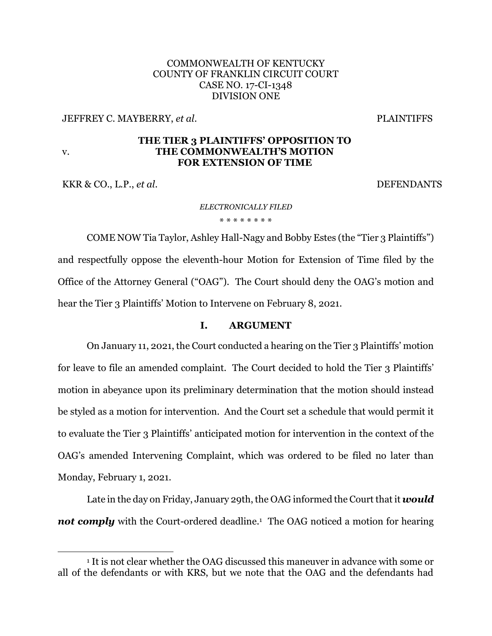# COMMONWEALTH OF KENTUCKY COUNTY OF FRANKLIN CIRCUIT COURT CASE NO. 17-CI-1348 DIVISION ONE

JEFFREY C. MAYBERRY, *et al*. PLAINTIFFS

### **THE TIER 3 PLAINTIFFS' OPPOSITION TO THE COMMONWEALTH'S MOTION FOR EXTENSION OF TIME**

KKR & CO., L.P., *et al.* DEFENDANTS

v.

### *ELECTRONICALLY FILED* \* \* \* \* \* \* \* \*

COME NOW Tia Taylor, Ashley Hall-Nagy and Bobby Estes (the "Tier 3 Plaintiffs") and respectfully oppose the eleventh-hour Motion for Extension of Time filed by the Office of the Attorney General ("OAG"). The Court should deny the OAG's motion and hear the Tier 3 Plaintiffs' Motion to Intervene on February 8, 2021.

### **I. ARGUMENT**

On January 11, 2021, the Court conducted a hearing on the Tier 3 Plaintiffs' motion for leave to file an amended complaint. The Court decided to hold the Tier 3 Plaintiffs' motion in abeyance upon its preliminary determination that the motion should instead be styled as a motion for intervention. And the Court set a schedule that would permit it to evaluate the Tier 3 Plaintiffs' anticipated motion for intervention in the context of the OAG's amended Intervening Complaint, which was ordered to be filed no later than Monday, February 1, 2021.

Late in the day on Friday, January 29th, the OAG informed the Court that it *would not comply* with the Court-ordered deadline. 1 The OAG noticed a motion for hearing

<sup>1</sup> It is not clear whether the OAG discussed this maneuver in advance with some or all of the defendants or with KRS, but we note that the OAG and the defendants had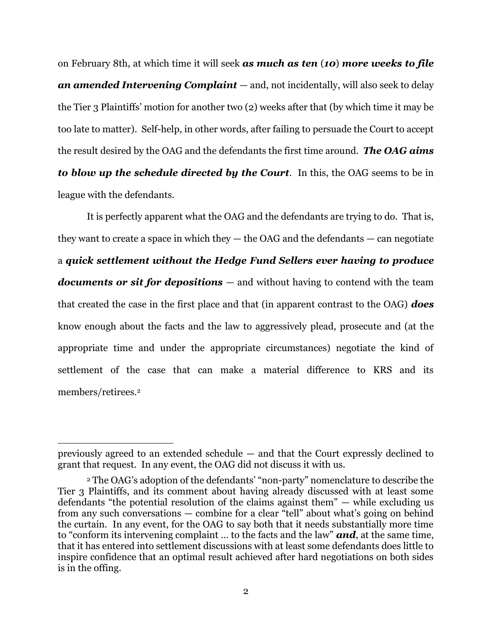on February 8th, at which time it will seek *as much as ten* (*10*) *more weeks to file an amended Intervening Complaint* — and, not incidentally, will also seek to delay the Tier 3 Plaintiffs' motion for another two (2) weeks after that (by which time it may be too late to matter). Self-help, in other words, after failing to persuade the Court to accept the result desired by the OAG and the defendants the first time around. *The OAG aims to blow up the schedule directed by the Court*. In this, the OAG seems to be in league with the defendants.

It is perfectly apparent what the OAG and the defendants are trying to do. That is, they want to create a space in which they  $-$  the OAG and the defendants  $-$  can negotiate a *quick settlement without the Hedge Fund Sellers ever having to produce documents or sit for depositions* — and without having to contend with the team that created the case in the first place and that (in apparent contrast to the OAG) *does* know enough about the facts and the law to aggressively plead, prosecute and (at the appropriate time and under the appropriate circumstances) negotiate the kind of settlement of the case that can make a material difference to KRS and its members/retirees.<sup>2</sup>

previously agreed to an extended schedule — and that the Court expressly declined to grant that request. In any event, the OAG did not discuss it with us.

<sup>2</sup> The OAG's adoption of the defendants' "non-party" nomenclature to describe the Tier 3 Plaintiffs, and its comment about having already discussed with at least some defendants "the potential resolution of the claims against them" — while excluding us from any such conversations — combine for a clear "tell" about what's going on behind the curtain. In any event, for the OAG to say both that it needs substantially more time to "conform its intervening complaint … to the facts and the law" *and*, at the same time, that it has entered into settlement discussions with at least some defendants does little to inspire confidence that an optimal result achieved after hard negotiations on both sides is in the offing.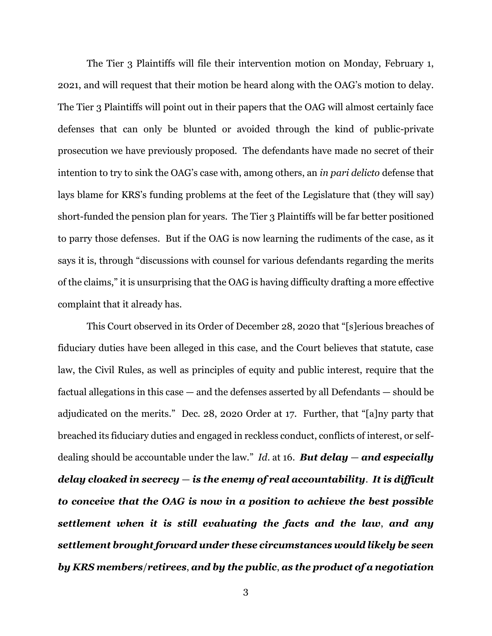The Tier 3 Plaintiffs will file their intervention motion on Monday, February 1, 2021, and will request that their motion be heard along with the OAG's motion to delay. The Tier 3 Plaintiffs will point out in their papers that the OAG will almost certainly face defenses that can only be blunted or avoided through the kind of public-private prosecution we have previously proposed. The defendants have made no secret of their intention to try to sink the OAG's case with, among others, an *in pari delicto* defense that lays blame for KRS's funding problems at the feet of the Legislature that (they will say) short-funded the pension plan for years. The Tier 3 Plaintiffs will be far better positioned to parry those defenses. But if the OAG is now learning the rudiments of the case, as it says it is, through "discussions with counsel for various defendants regarding the merits of the claims," it is unsurprising that the OAG is having difficulty drafting a more effective complaint that it already has.

This Court observed in its Order of December 28, 2020 that "[s]erious breaches of fiduciary duties have been alleged in this case, and the Court believes that statute, case law, the Civil Rules, as well as principles of equity and public interest, require that the factual allegations in this case — and the defenses asserted by all Defendants — should be adjudicated on the merits." Dec. 28, 2020 Order at 17. Further, that "[a]ny party that breached its fiduciary duties and engaged in reckless conduct, conflicts of interest, or selfdealing should be accountable under the law." *Id.* at 16. *But delay – and especially delay cloaked in secrecy* — *is the enemy of real accountability*. *It is difficult to conceive that the OAG is now in a position to achieve the best possible settlement when it is still evaluating the facts and the law*, *and any settlement brought forward under these circumstances would likely be seen by KRS members*/*retirees*, *and by the public*, *as the product of a negotiation*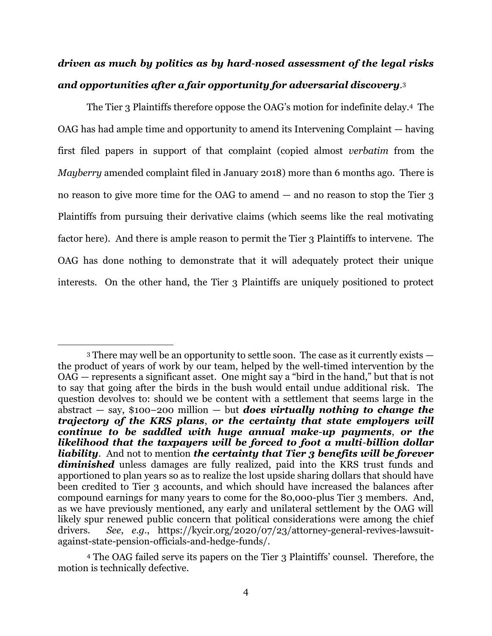# *driven as much by politics as by hard*-*nosed assessment of the legal risks and opportunities after a fair opportunity for adversarial discovery*. 3

The Tier 3 Plaintiffs therefore oppose the OAG's motion for indefinite delay.4 The OAG has had ample time and opportunity to amend its Intervening Complaint — having first filed papers in support of that complaint (copied almost *verbatim* from the *Mayberry* amended complaint filed in January 2018) more than 6 months ago. There is no reason to give more time for the OAG to amend — and no reason to stop the Tier 3 Plaintiffs from pursuing their derivative claims (which seems like the real motivating factor here). And there is ample reason to permit the Tier 3 Plaintiffs to intervene. The OAG has done nothing to demonstrate that it will adequately protect their unique interests. On the other hand, the Tier 3 Plaintiffs are uniquely positioned to protect

<sup>3</sup> There may well be an opportunity to settle soon. The case as it currently exists the product of years of work by our team, helped by the well-timed intervention by the OAG — represents a significant asset. One might say a "bird in the hand," but that is not to say that going after the birds in the bush would entail undue additional risk. The question devolves to: should we be content with a settlement that seems large in the abstract — say, \$100–200 million — but *does virtually nothing to change the trajectory of the KRS plans*, *or the certainty that state employers will continue to be saddled with huge annual make*-*up payments*, *or the likelihood that the taxpayers will be forced to foot a multi*-*billion dollar liability*. And not to mention *the certainty that Tier 3 benefits will be forever diminished* unless damages are fully realized, paid into the KRS trust funds and apportioned to plan years so as to realize the lost upside sharing dollars that should have been credited to Tier 3 accounts, and which should have increased the balances after compound earnings for many years to come for the 80,000-plus Tier 3 members. And, as we have previously mentioned, any early and unilateral settlement by the OAG will likely spur renewed public concern that political considerations were among the chief drivers. *See*, *e.g*., [https://kycir.org/2020/07/23/attorney-general-revives-lawsuit](https://kycir.org/2020/07/23/attorney-general-revives-lawsuit-against-state-pension-officials-and-hedge-funds/)[against-state-pension-officials-and-hedge-funds/.](https://kycir.org/2020/07/23/attorney-general-revives-lawsuit-against-state-pension-officials-and-hedge-funds/)

<sup>4</sup> The OAG failed serve its papers on the Tier 3 Plaintiffs' counsel. Therefore, the motion is technically defective.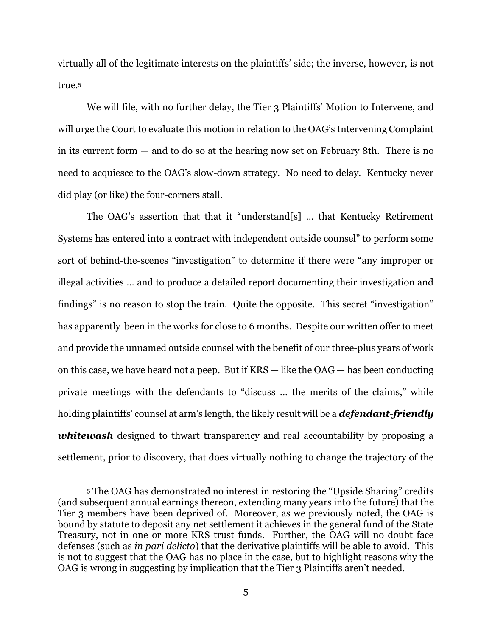virtually all of the legitimate interests on the plaintiffs' side; the inverse, however, is not true.<sup>5</sup>

We will file, with no further delay, the Tier 3 Plaintiffs' Motion to Intervene, and will urge the Court to evaluate this motion in relation to the OAG's Intervening Complaint in its current form — and to do so at the hearing now set on February 8th. There is no need to acquiesce to the OAG's slow-down strategy. No need to delay. Kentucky never did play (or like) the four-corners stall.

The OAG's assertion that that it "understand[s] … that Kentucky Retirement Systems has entered into a contract with independent outside counsel" to perform some sort of behind-the-scenes "investigation" to determine if there were "any improper or illegal activities … and to produce a detailed report documenting their investigation and findings" is no reason to stop the train. Quite the opposite. This secret "investigation" has apparently been in the works for close to 6 months. Despite our written offer to meet and provide the unnamed outside counsel with the benefit of our three-plus years of work on this case, we have heard not a peep. But if KRS — like the OAG — has been conducting private meetings with the defendants to "discuss … the merits of the claims," while holding plaintiffs' counsel at arm's length, the likely result will be a *defendant*-*friendly whitewash* designed to thwart transparency and real accountability by proposing a settlement, prior to discovery, that does virtually nothing to change the trajectory of the

<sup>5</sup> The OAG has demonstrated no interest in restoring the "Upside Sharing" credits (and subsequent annual earnings thereon, extending many years into the future) that the Tier 3 members have been deprived of. Moreover, as we previously noted, the OAG is bound by statute to deposit any net settlement it achieves in the general fund of the State Treasury, not in one or more KRS trust funds. Further, the OAG will no doubt face defenses (such as *in pari delicto*) that the derivative plaintiffs will be able to avoid. This is not to suggest that the OAG has no place in the case, but to highlight reasons why the OAG is wrong in suggesting by implication that the Tier 3 Plaintiffs aren't needed.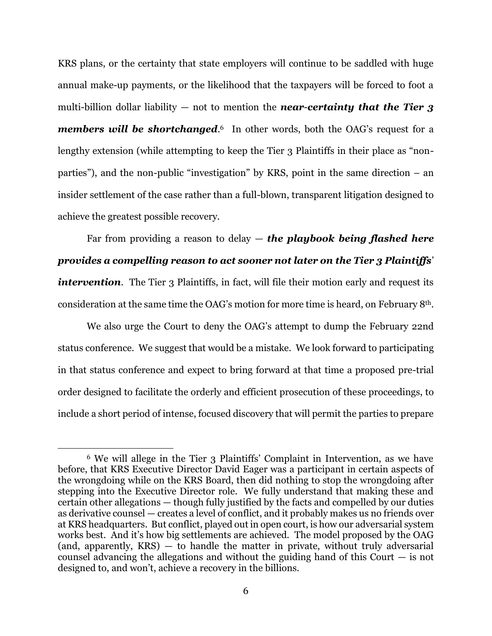KRS plans, or the certainty that state employers will continue to be saddled with huge annual make-up payments, or the likelihood that the taxpayers will be forced to foot a multi-billion dollar liability — not to mention the *near*-*certainty that the Tier 3*  **members will be shortchanged.**<sup>6</sup> In other words, both the OAG's request for a lengthy extension (while attempting to keep the Tier 3 Plaintiffs in their place as "nonparties"), and the non-public "investigation" by KRS, point in the same direction – an insider settlement of the case rather than a full-blown, transparent litigation designed to achieve the greatest possible recovery.

Far from providing a reason to delay — *the playbook being flashed here provides a compelling reason to act sooner not later on the Tier 3 Plaintiffs*' *intervention.* The Tier 3 Plaintiffs, in fact, will file their motion early and request its consideration at the same time the OAG's motion for more time is heard, on February 8th.

We also urge the Court to deny the OAG's attempt to dump the February 22nd status conference. We suggest that would be a mistake. We look forward to participating in that status conference and expect to bring forward at that time a proposed pre-trial order designed to facilitate the orderly and efficient prosecution of these proceedings, to include a short period of intense, focused discovery that will permit the parties to prepare

<sup>6</sup> We will allege in the Tier 3 Plaintiffs' Complaint in Intervention, as we have before, that KRS Executive Director David Eager was a participant in certain aspects of the wrongdoing while on the KRS Board, then did nothing to stop the wrongdoing after stepping into the Executive Director role. We fully understand that making these and certain other allegations — though fully justified by the facts and compelled by our duties as derivative counsel — creates a level of conflict, and it probably makes us no friends over at KRS headquarters. But conflict, played out in open court, is how our adversarial system works best. And it's how big settlements are achieved. The model proposed by the OAG  $(and, apparently, KRS) - to handle the matter in private, without truly adversarial$ counsel advancing the allegations and without the guiding hand of this Court  $-$  is not designed to, and won't, achieve a recovery in the billions.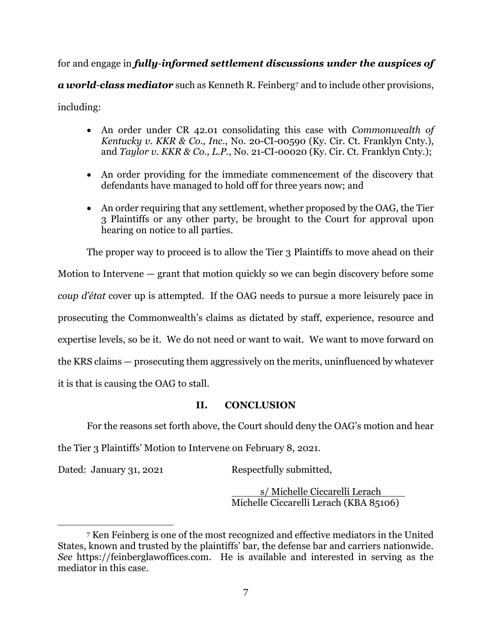for and engage in *fully*-*informed settlement discussions under the auspices of a world*-*class mediator* such as Kenneth R. Feinberg<sup>7</sup> and to include other provisions, including:

- An order under CR 42.01 consolidating this case with *Commonwealth of Kentucky v. KKR & Co., Inc*., No. 20-CI-00590 (Ky. Cir. Ct. Franklyn Cnty.), and *Taylor v. KKR & Co., L.P.*, No. 21-CI-00020 (Ky. Cir. Ct. Franklyn Cnty.);
- An order providing for the immediate commencement of the discovery that defendants have managed to hold off for three years now; and
- An order requiring that any settlement, whether proposed by the OAG, the Tier 3 Plaintiffs or any other party, be brought to the Court for approval upon hearing on notice to all parties.

The proper way to proceed is to allow the Tier 3 Plaintiffs to move ahead on their

Motion to Intervene — grant that motion quickly so we can begin discovery before some *coup d'état* cover up is attempted. If the OAG needs to pursue a more leisurely pace in prosecuting the Commonwealth's claims as dictated by staff, experience, resource and expertise levels, so be it. We do not need or want to wait. We want to move forward on the KRS claims — prosecuting them aggressively on the merits, uninfluenced by whatever it is that is causing the OAG to stall.

# **II. CONCLUSION**

For the reasons set forth above, the Court should deny the OAG's motion and hear

the Tier 3 Plaintiffs' Motion to Intervene on February 8, 2021.

Dated: January 31, 2021 Respectfully submitted,

s/ Michelle Ciccarelli Lerach Michelle Ciccarelli Lerach (KBA 85106)

<sup>7</sup> Ken Feinberg is one of the most recognized and effective mediators in the United States, known and trusted by the plaintiffs' bar, the defense bar and carriers nationwide. *See* [https://feinberglawoffices.com.](https://feinberglawoffices.com/) He is available and interested in serving as the mediator in this case.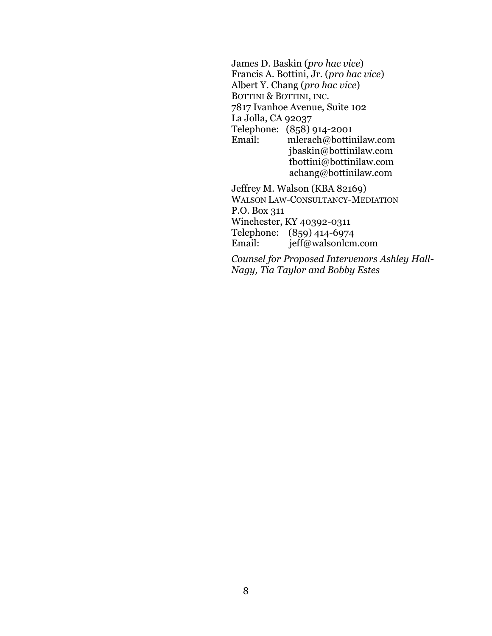James D. Baskin (*pro hac vice*) Francis A. Bottini, Jr. (*pro hac vice*) Albert Y. Chang (*pro hac vice*) BOTTINI & BOTTINI, INC. 7817 Ivanhoe Avenue, Suite 102 La Jolla, CA 92037 Telephone: (858) 914-2001 Email: [mlerach@bottinilaw.com](mailto:mlerach@bottinilaw.com) [jbaskin@bottinilaw.com](mailto:jbaskin@bottinilaw.com) [fbottini@bottinilaw.com](mailto:fbottini@bottinilaw.com) achang@bottinilaw.com Jeffrey M. Walson (KBA 82169) WALSON LAW-CONSULTANCY-MEDIATION P.O. Box 311 Winchester, KY 40392-0311

Telephone: (859) 414-6974 Email: jeff@walsonlcm.com

*Counsel for Proposed Intervenors Ashley Hall-Nagy, Tia Taylor and Bobby Estes*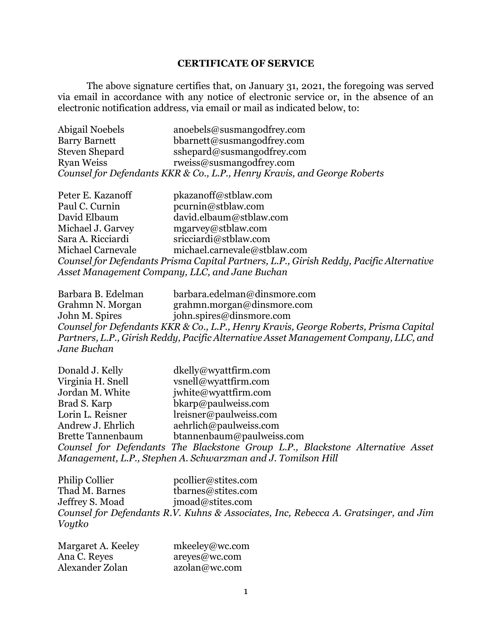## **CERTIFICATE OF SERVICE**

The above signature certifies that, on January 31, 2021, the foregoing was served via email in accordance with any notice of electronic service or, in the absence of an electronic notification address, via email or mail as indicated below, to:

| Abigail Noebels       | anoebels@susmangodfrey.com                                               |
|-----------------------|--------------------------------------------------------------------------|
| <b>Barry Barnett</b>  | bbarnett@susmangodfrey.com                                               |
| <b>Steven Shepard</b> | sshepard@susmangodfrey.com                                               |
| <b>Ryan Weiss</b>     | rweiss@susmangodfrey.com                                                 |
|                       | Counsel for Defendants KKR & Co., L.P., Henry Kravis, and George Roberts |

| Peter E. Kazanoff | pkazanoff@stblaw.com                                                                    |
|-------------------|-----------------------------------------------------------------------------------------|
| Paul C. Curnin    | pcurnin@stblaw.com                                                                      |
| David Elbaum      | david.elbaum@stblaw.com                                                                 |
| Michael J. Garvey | mgarvey@stblaw.com                                                                      |
| Sara A. Ricciardi | sricciardi@stblaw.com                                                                   |
| Michael Carnevale | michael.carnevale@stblaw.com                                                            |
|                   | Counsel for Defendants Prisma Capital Partners, L.P., Girish Reddy, Pacific Alternative |
|                   | Asset Management Company, LLC, and Jane Buchan                                          |

Barbara B. Edelman barbara.edelman@dinsmore.com Grahmn N. Morgan grahmn.morgan@dinsmore.com<br>John M. Spires john.spires@dinsmore.com john.spires@dinsmore.com *Counsel for Defendants KKR & Co., L.P., Henry Kravis, George Roberts, Prisma Capital Partners, L.P., Girish Reddy, Pacific Alternative Asset Management Company, LLC, and Jane Buchan*

| Donald J. Kelly          | dkelly@wyattfirm.com                                                           |
|--------------------------|--------------------------------------------------------------------------------|
| Virginia H. Snell        | vsnell@wyattfirm.com                                                           |
| Jordan M. White          | jwhite@wyattfirm.com                                                           |
| Brad S. Karp             | bkarp@paulweiss.com                                                            |
| Lorin L. Reisner         | lreisner@paulweiss.com                                                         |
| Andrew J. Ehrlich        | aehrlich@paulweiss.com                                                         |
| <b>Brette Tannenbaum</b> | btannenbaum@paulweiss.com                                                      |
|                          | Counsel for Defendants The Blackstone Group L.P., Blackstone Alternative Asset |
|                          | Management, L.P., Stephen A. Schwarzman and J. Tomilson Hill                   |

| Philip Collier  | pcollier@stites.com                                                                 |
|-----------------|-------------------------------------------------------------------------------------|
| Thad M. Barnes  | tharnes@stites.com                                                                  |
| Jeffrey S. Moad | imoad@stites.com                                                                    |
|                 | Counsel for Defendants R.V. Kuhns & Associates, Inc, Rebecca A. Gratsinger, and Jim |
| Voytko          |                                                                                     |

| Margaret A. Keeley | mkeeley@wc.com |
|--------------------|----------------|
| Ana C. Reyes       | areyes@wc.com  |
| Alexander Zolan    | azolan@wc.com  |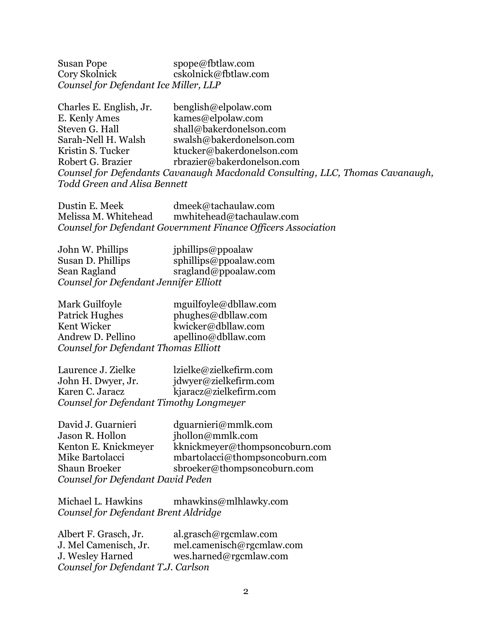Susan Pope spope@fbtlaw.com Cory Skolnick cskolnick@fbtlaw.com *Counsel for Defendant Ice Miller, LLP* 

| Charles E. English, Jr.             | benglish@elpolaw.com                                                          |
|-------------------------------------|-------------------------------------------------------------------------------|
| E. Kenly Ames                       | kames@elpolaw.com                                                             |
| Steven G. Hall                      | shall@bakerdonelson.com                                                       |
| Sarah-Nell H. Walsh                 | swalsh@bakerdonelson.com                                                      |
| Kristin S. Tucker                   | ktucker@bakerdonelson.com                                                     |
| Robert G. Brazier                   | rbrazier@bakerdonelson.com                                                    |
|                                     | Counsel for Defendants Cavanaugh Macdonald Consulting, LLC, Thomas Cavanaugh, |
| <b>Todd Green and Alisa Bennett</b> |                                                                               |

Dustin E. Meek dmeek@tachaulaw.com<br>Melissa M. Whitehead mwhitehead@tachaulaw<br>Counsel for Defandment C mwhitehead@tachaulaw.com *Counsel for Defendant Government Finance Officers Association*

John W. Phillips *jphillips@ppoalaw* Susan D. Phillips sphillips@ppoalaw.com Sean Ragland sragland@ppoalaw.com *Counsel for Defendant Jennifer Elliott*

Mark Guilfoyle mguilfoyle@dbllaw.com Patrick Hughes phughes@dbllaw.com Kent Wicker<br>Andrew D. Pellino (and apellino adbilaw.com apellino@dbllaw.com *Counsel for Defendant Thomas Elliott*

Laurence J. Zielke lzielke@zielkefirm.com John H. Dwyer, Jr. jdwyer@zielkefirm.com Karen C. Jaracz kjaracz@zielkefirm.com *Counsel for Defendant Timothy Longmeyer*

| David J. Guarnieri                | dguarnieri@mmlk.com            |
|-----------------------------------|--------------------------------|
| Jason R. Hollon                   | jhollon@mmlk.com               |
| Kenton E. Knickmeyer              | kknickmeyer@thompsoncoburn.com |
| Mike Bartolacci                   | mbartolacci@thompsoncoburn.com |
| Shaun Broeker                     | sbroeker@thompsoncoburn.com    |
| Counsel for Defendant David Peden |                                |

Michael L. Hawkins mhawkins@mlhlawky.com *Counsel for Defendant Brent Aldridge* 

| Albert F. Grasch, Jr.              | al.grasch@rgcmlaw.com     |
|------------------------------------|---------------------------|
| J. Mel Camenisch, Jr.              | mel.camenisch@rgcmlaw.com |
| J. Wesley Harned                   | wes.harned@rgcmlaw.com    |
| Counsel for Defendant T.J. Carlson |                           |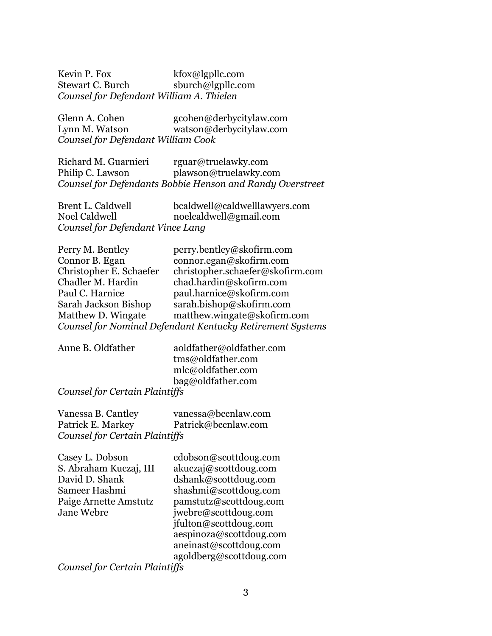Kevin P. Fox kfox@lgpllc.com Stewart C. Burch sburch@lgpllc.com *Counsel for Defendant William A. Thielen*

Glenn A. Cohen gcohen@derbycitylaw.com Lynn M. Watson watson@derbycitylaw.com *Counsel for Defendant William Cook*

Richard M. Guarnieri rguar@truelawky.com Philip C. Lawson plawson@truelawky.com *Counsel for Defendants Bobbie Henson and Randy Overstreet*

| Brent L. Caldwell                | bcaldwell@caldwelllawyers.com |
|----------------------------------|-------------------------------|
| Noel Caldwell                    | noelcaldwell@gmail.com        |
| Counsel for Defendant Vince Lang |                               |

| Perry M. Bentley        | perry.bentley@skofirm.com                                 |
|-------------------------|-----------------------------------------------------------|
| Connor B. Egan          | connor.egan@skofirm.com                                   |
| Christopher E. Schaefer | christopher.schaefer@skofirm.com                          |
| Chadler M. Hardin       | chad.hardin@skofirm.com                                   |
| Paul C. Harnice         | paul.harnice@skofirm.com                                  |
| Sarah Jackson Bishop    | sarah.bishop@skofirm.com                                  |
| Matthew D. Wingate      | matthew.wingate@skofirm.com                               |
|                         | Counsel for Nominal Defendant Kentucky Retirement Systems |

Anne B. Oldfather aoldfather@oldfather.com tms@oldfather.com mlc@oldfather.com bag@oldfather.com

#### *Counsel for Certain Plaintiffs*

Vanessa B. Cantley vanessa@bccnlaw.com Patrick E. Markey Patrick@bccnlaw.com *Counsel for Certain Plaintiffs*

Casey L. Dobson cdobson@scottdoug.com S. Abraham Kuczaj, III akuczaj@scottdoug.com David D. Shank dshank@scottdoug.com Sameer Hashmi $\omega$ shashmi $\omega$ scottdoug.com Paige Arnette Amstutz pamstutz@scottdoug.com Jane Webre jwebre@scottdoug.com jfulton@scottdoug.com aespinoza@scottdoug.com aneinast@scottdoug.com agoldberg@scottdoug.com

*Counsel for Certain Plaintiffs*